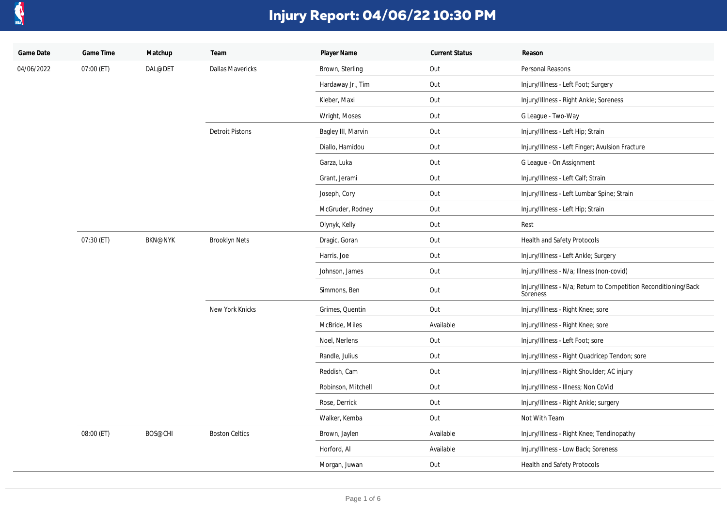

| Game Date  | Game Time  | Matchup        | Team                    | Player Name        | <b>Current Status</b> | Reason                                                                      |
|------------|------------|----------------|-------------------------|--------------------|-----------------------|-----------------------------------------------------------------------------|
| 04/06/2022 | 07:00 (ET) | DAL@DET        | <b>Dallas Mavericks</b> | Brown, Sterling    | Out                   | Personal Reasons                                                            |
|            |            |                |                         | Hardaway Jr., Tim  | Out                   | Injury/Illness - Left Foot; Surgery                                         |
|            |            |                |                         | Kleber, Maxi       | Out                   | Injury/Illness - Right Ankle; Soreness                                      |
|            |            |                |                         | Wright, Moses      | Out                   | G League - Two-Way                                                          |
|            |            |                | <b>Detroit Pistons</b>  | Bagley III, Marvin | Out                   | Injury/Illness - Left Hip; Strain                                           |
|            |            |                |                         | Diallo, Hamidou    | Out                   | Injury/Illness - Left Finger; Avulsion Fracture                             |
|            |            |                |                         | Garza, Luka        | Out                   | G League - On Assignment                                                    |
|            |            |                |                         | Grant, Jerami      | Out                   | Injury/Illness - Left Calf; Strain                                          |
|            |            |                |                         | Joseph, Cory       | Out                   | Injury/Illness - Left Lumbar Spine; Strain                                  |
|            |            |                |                         | McGruder, Rodney   | Out                   | Injury/Illness - Left Hip; Strain                                           |
|            |            |                |                         | Olynyk, Kelly      | Out                   | Rest                                                                        |
|            | 07:30 (ET) | <b>BKN@NYK</b> | <b>Brooklyn Nets</b>    | Dragic, Goran      | Out                   | Health and Safety Protocols                                                 |
|            |            |                |                         | Harris, Joe        | Out                   | Injury/Illness - Left Ankle; Surgery                                        |
|            |            |                |                         | Johnson, James     | Out                   | Injury/Illness - N/a; Illness (non-covid)                                   |
|            |            |                |                         | Simmons, Ben       | Out                   | Injury/Illness - N/a; Return to Competition Reconditioning/Back<br>Soreness |
|            |            |                | New York Knicks         | Grimes, Quentin    | Out                   | Injury/Illness - Right Knee; sore                                           |
|            |            |                |                         | McBride, Miles     | Available             | Injury/Illness - Right Knee; sore                                           |
|            |            |                |                         | Noel, Nerlens      | Out                   | Injury/Illness - Left Foot; sore                                            |
|            |            |                |                         | Randle, Julius     | Out                   | Injury/Illness - Right Quadricep Tendon; sore                               |
|            |            |                |                         | Reddish, Cam       | Out                   | Injury/Illness - Right Shoulder; AC injury                                  |
|            |            |                |                         | Robinson, Mitchell | Out                   | Injury/Illness - Illness; Non CoVid                                         |
|            |            |                |                         | Rose, Derrick      | Out                   | Injury/Illness - Right Ankle; surgery                                       |
|            |            |                |                         | Walker, Kemba      | Out                   | Not With Team                                                               |
|            | 08:00 (ET) | BOS@CHI        | <b>Boston Celtics</b>   | Brown, Jaylen      | Available             | Injury/Illness - Right Knee; Tendinopathy                                   |
|            |            |                |                         | Horford, Al        | Available             | Injury/Illness - Low Back; Soreness                                         |
|            |            |                |                         | Morgan, Juwan      | Out                   | Health and Safety Protocols                                                 |
|            |            |                |                         |                    |                       |                                                                             |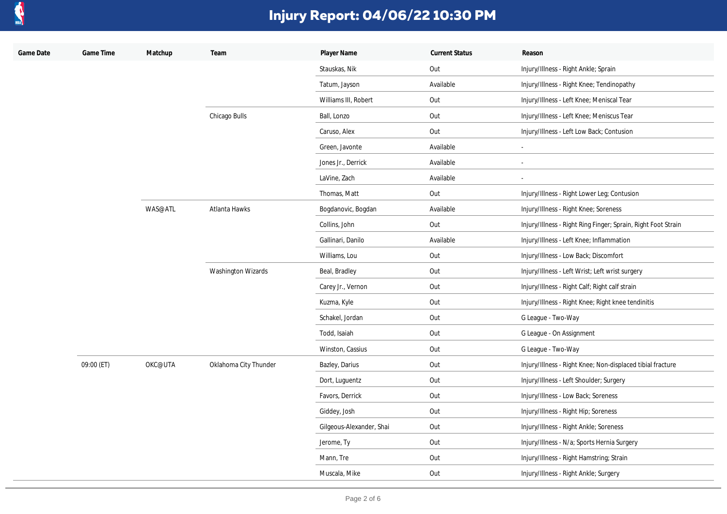

| Game Date | Game Time  | Matchup | Team                      | Player Name              | <b>Current Status</b> | Reason                                                        |
|-----------|------------|---------|---------------------------|--------------------------|-----------------------|---------------------------------------------------------------|
|           |            |         |                           | Stauskas, Nik            | Out                   | Injury/Illness - Right Ankle; Sprain                          |
|           |            |         |                           | Tatum, Jayson            | Available             | Injury/Illness - Right Knee; Tendinopathy                     |
|           |            |         |                           | Williams III, Robert     | Out                   | Injury/Illness - Left Knee; Meniscal Tear                     |
|           |            |         | Chicago Bulls             | Ball, Lonzo              | Out                   | Injury/Illness - Left Knee; Meniscus Tear                     |
|           |            |         |                           | Caruso, Alex             | Out                   | Injury/Illness - Left Low Back; Contusion                     |
|           |            |         |                           | Green, Javonte           | Available             | ÷.                                                            |
|           |            |         |                           | Jones Jr., Derrick       | Available             | $\blacksquare$                                                |
|           |            |         |                           | LaVine, Zach             | Available             | $\overline{\phantom{a}}$                                      |
|           |            |         |                           | Thomas, Matt             | Out                   | Injury/Illness - Right Lower Leg; Contusion                   |
|           |            | WAS@ATL | Atlanta Hawks             | Bogdanovic, Bogdan       | Available             | Injury/Illness - Right Knee; Soreness                         |
|           |            |         |                           | Collins, John            | Out                   | Injury/Illness - Right Ring Finger; Sprain, Right Foot Strain |
|           |            |         |                           | Gallinari, Danilo        | Available             | Injury/Illness - Left Knee; Inflammation                      |
|           |            |         |                           | Williams, Lou            | Out                   | Injury/Illness - Low Back; Discomfort                         |
|           |            |         | <b>Washington Wizards</b> | Beal, Bradley            | Out                   | Injury/Illness - Left Wrist; Left wrist surgery               |
|           |            |         |                           | Carey Jr., Vernon        | Out                   | Injury/Illness - Right Calf; Right calf strain                |
|           |            |         |                           | Kuzma, Kyle              | Out                   | Injury/Illness - Right Knee; Right knee tendinitis            |
|           |            |         |                           | Schakel, Jordan          | Out                   | G League - Two-Way                                            |
|           |            |         |                           | Todd, Isaiah             | Out                   | G League - On Assignment                                      |
|           |            |         |                           | Winston, Cassius         | Out                   | G League - Two-Way                                            |
|           | 09:00 (ET) | OKC@UTA | Oklahoma City Thunder     | Bazley, Darius           | Out                   | Injury/Illness - Right Knee; Non-displaced tibial fracture    |
|           |            |         |                           | Dort, Luguentz           | Out                   | Injury/Illness - Left Shoulder; Surgery                       |
|           |            |         |                           | Favors, Derrick          | Out                   | Injury/Illness - Low Back; Soreness                           |
|           |            |         |                           | Giddey, Josh             | Out                   | Injury/Illness - Right Hip; Soreness                          |
|           |            |         |                           | Gilgeous-Alexander, Shai | Out                   | Injury/Illness - Right Ankle; Soreness                        |
|           |            |         |                           | Jerome, Ty               | Out                   | Injury/Illness - N/a; Sports Hernia Surgery                   |
|           |            |         |                           | Mann, Tre                | Out                   | Injury/Illness - Right Hamstring; Strain                      |
|           |            |         |                           | Muscala, Mike            | Out                   | Injury/Illness - Right Ankle; Surgery                         |
|           |            |         |                           |                          |                       |                                                               |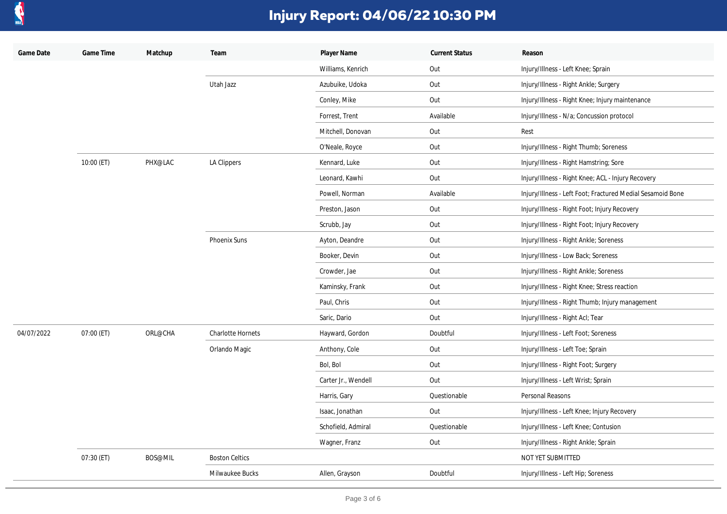

| Game Date  | Game Time  | Matchup | Team                     | Player Name         | <b>Current Status</b> | Reason                                                     |
|------------|------------|---------|--------------------------|---------------------|-----------------------|------------------------------------------------------------|
|            |            |         |                          | Williams, Kenrich   | Out                   | Injury/Illness - Left Knee; Sprain                         |
|            |            |         | Utah Jazz                | Azubuike, Udoka     | Out                   | Injury/Illness - Right Ankle; Surgery                      |
|            |            |         |                          | Conley, Mike        | Out                   | Injury/Illness - Right Knee; Injury maintenance            |
|            |            |         |                          | Forrest, Trent      | Available             | Injury/Illness - N/a; Concussion protocol                  |
|            |            |         |                          | Mitchell, Donovan   | Out                   | Rest                                                       |
|            |            |         |                          | O'Neale, Royce      | Out                   | Injury/Illness - Right Thumb; Soreness                     |
|            | 10:00 (ET) | PHX@LAC | LA Clippers              | Kennard, Luke       | Out                   | Injury/Illness - Right Hamstring; Sore                     |
|            |            |         |                          | Leonard, Kawhi      | Out                   | Injury/Illness - Right Knee; ACL - Injury Recovery         |
|            |            |         |                          | Powell, Norman      | Available             | Injury/Illness - Left Foot; Fractured Medial Sesamoid Bone |
|            |            |         |                          | Preston, Jason      | Out                   | Injury/Illness - Right Foot; Injury Recovery               |
|            |            |         |                          | Scrubb, Jay         | Out                   | Injury/Illness - Right Foot; Injury Recovery               |
|            |            |         | Phoenix Suns             | Ayton, Deandre      | Out                   | Injury/Illness - Right Ankle; Soreness                     |
|            |            |         |                          | Booker, Devin       | Out                   | Injury/Illness - Low Back; Soreness                        |
|            |            |         |                          | Crowder, Jae        | Out                   | Injury/Illness - Right Ankle; Soreness                     |
|            |            |         |                          | Kaminsky, Frank     | Out                   | Injury/Illness - Right Knee; Stress reaction               |
|            |            |         |                          | Paul, Chris         | Out                   | Injury/Illness - Right Thumb; Injury management            |
|            |            |         |                          | Saric, Dario        | Out                   | Injury/Illness - Right Acl; Tear                           |
| 04/07/2022 | 07:00 (ET) | ORL@CHA | <b>Charlotte Hornets</b> | Hayward, Gordon     | Doubtful              | Injury/Illness - Left Foot; Soreness                       |
|            |            |         | Orlando Magic            | Anthony, Cole       | Out                   | Injury/Illness - Left Toe; Sprain                          |
|            |            |         |                          | Bol, Bol            | Out                   | Injury/Illness - Right Foot; Surgery                       |
|            |            |         |                          | Carter Jr., Wendell | Out                   | Injury/Illness - Left Wrist; Sprain                        |
|            |            |         |                          | Harris, Gary        | Questionable          | Personal Reasons                                           |
|            |            |         |                          | Isaac, Jonathan     | Out                   | Injury/Illness - Left Knee; Injury Recovery                |
|            |            |         |                          | Schofield, Admiral  | Questionable          | Injury/Illness - Left Knee; Contusion                      |
|            |            |         |                          | Wagner, Franz       | Out                   | Injury/Illness - Right Ankle; Sprain                       |
|            | 07:30 (ET) | BOS@MIL | <b>Boston Celtics</b>    |                     |                       | NOT YET SUBMITTED                                          |
|            |            |         | Milwaukee Bucks          | Allen, Grayson      | Doubtful              | Injury/Illness - Left Hip; Soreness                        |
|            |            |         |                          |                     |                       |                                                            |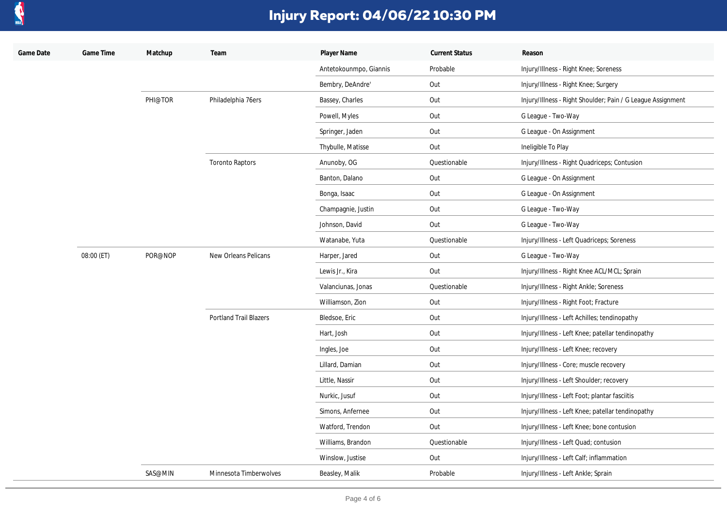

| Game Date | Game Time  | Matchup | Team                          | Player Name            | <b>Current Status</b> | Reason                                                      |
|-----------|------------|---------|-------------------------------|------------------------|-----------------------|-------------------------------------------------------------|
|           |            |         |                               | Antetokounmpo, Giannis | Probable              | Injury/Illness - Right Knee; Soreness                       |
|           |            |         |                               | Bembry, DeAndre'       | Out                   | Injury/Illness - Right Knee; Surgery                        |
|           |            | PHI@TOR | Philadelphia 76ers            | Bassey, Charles        | Out                   | Injury/Illness - Right Shoulder; Pain / G League Assignment |
|           |            |         |                               | Powell, Myles          | Out                   | G League - Two-Way                                          |
|           |            |         |                               | Springer, Jaden        | Out                   | G League - On Assignment                                    |
|           |            |         |                               | Thybulle, Matisse      | Out                   | Ineligible To Play                                          |
|           |            |         | <b>Toronto Raptors</b>        | Anunoby, OG            | Questionable          | Injury/Illness - Right Quadriceps; Contusion                |
|           |            |         |                               | Banton, Dalano         | Out                   | G League - On Assignment                                    |
|           |            |         |                               | Bonga, Isaac           | Out                   | G League - On Assignment                                    |
|           |            |         |                               | Champagnie, Justin     | Out                   | G League - Two-Way                                          |
|           |            |         |                               | Johnson, David         | Out                   | G League - Two-Way                                          |
|           |            |         |                               | Watanabe, Yuta         | Questionable          | Injury/Illness - Left Quadriceps; Soreness                  |
|           | 08:00 (ET) | POR@NOP | New Orleans Pelicans          | Harper, Jared          | Out                   | G League - Two-Way                                          |
|           |            |         |                               | Lewis Jr., Kira        | Out                   | Injury/Illness - Right Knee ACL/MCL; Sprain                 |
|           |            |         |                               | Valanciunas, Jonas     | Questionable          | Injury/Illness - Right Ankle; Soreness                      |
|           |            |         |                               | Williamson, Zion       | Out                   | Injury/Illness - Right Foot; Fracture                       |
|           |            |         | <b>Portland Trail Blazers</b> | Bledsoe, Eric          | Out                   | Injury/Illness - Left Achilles; tendinopathy                |
|           |            |         |                               | Hart, Josh             | Out                   | Injury/Illness - Left Knee; patellar tendinopathy           |
|           |            |         |                               | Ingles, Joe            | Out                   | Injury/Illness - Left Knee; recovery                        |
|           |            |         |                               | Lillard, Damian        | Out                   | Injury/Illness - Core; muscle recovery                      |
|           |            |         |                               | Little, Nassir         | Out                   | Injury/Illness - Left Shoulder; recovery                    |
|           |            |         |                               | Nurkic, Jusuf          | Out                   | Injury/Illness - Left Foot; plantar fasciitis               |
|           |            |         |                               | Simons, Anfernee       | Out                   | Injury/Illness - Left Knee; patellar tendinopathy           |
|           |            |         |                               | Watford, Trendon       | Out                   | Injury/Illness - Left Knee; bone contusion                  |
|           |            |         |                               | Williams, Brandon      | Questionable          | Injury/Illness - Left Quad; contusion                       |
|           |            |         |                               | Winslow, Justise       | Out                   | Injury/Illness - Left Calf; inflammation                    |
|           |            | SAS@MIN | Minnesota Timberwolves        | Beasley, Malik         | Probable              | Injury/Illness - Left Ankle; Sprain                         |
|           |            |         |                               |                        |                       |                                                             |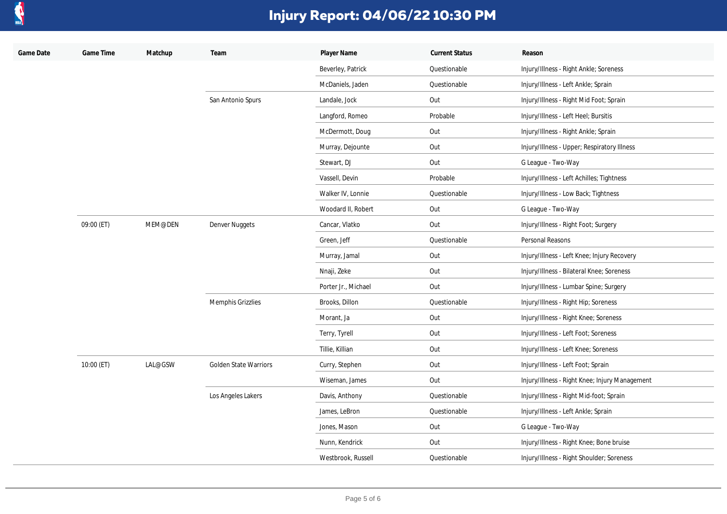

| Game Date | Game Time  | Matchup | Team                         | Player Name         | <b>Current Status</b> | Reason                                         |
|-----------|------------|---------|------------------------------|---------------------|-----------------------|------------------------------------------------|
|           |            |         |                              | Beverley, Patrick   | Questionable          | Injury/Illness - Right Ankle; Soreness         |
|           |            |         |                              | McDaniels, Jaden    | Questionable          | Injury/Illness - Left Ankle; Sprain            |
|           |            |         | San Antonio Spurs            | Landale, Jock       | Out                   | Injury/Illness - Right Mid Foot; Sprain        |
|           |            |         |                              | Langford, Romeo     | Probable              | Injury/Illness - Left Heel; Bursitis           |
|           |            |         |                              | McDermott, Doug     | Out                   | Injury/Illness - Right Ankle; Sprain           |
|           |            |         |                              | Murray, Dejounte    | Out                   | Injury/Illness - Upper; Respiratory Illness    |
|           |            |         |                              | Stewart, DJ         | Out                   | G League - Two-Way                             |
|           |            |         |                              | Vassell, Devin      | Probable              | Injury/Illness - Left Achilles; Tightness      |
|           |            |         |                              | Walker IV, Lonnie   | Questionable          | Injury/Illness - Low Back; Tightness           |
|           |            |         |                              | Woodard II, Robert  | Out                   | G League - Two-Way                             |
|           | 09:00 (ET) | MEM@DEN | Denver Nuggets               | Cancar, Vlatko      | Out                   | Injury/Illness - Right Foot; Surgery           |
|           |            |         |                              | Green, Jeff         | Questionable          | Personal Reasons                               |
|           |            |         |                              | Murray, Jamal       | Out                   | Injury/Illness - Left Knee; Injury Recovery    |
|           |            |         |                              | Nnaji, Zeke         | Out                   | Injury/Illness - Bilateral Knee; Soreness      |
|           |            |         |                              | Porter Jr., Michael | Out                   | Injury/Illness - Lumbar Spine; Surgery         |
|           |            |         | Memphis Grizzlies            | Brooks, Dillon      | Questionable          | Injury/Illness - Right Hip; Soreness           |
|           |            |         |                              | Morant, Ja          | Out                   | Injury/Illness - Right Knee; Soreness          |
|           |            |         |                              | Terry, Tyrell       | Out                   | Injury/Illness - Left Foot; Soreness           |
|           |            |         |                              | Tillie, Killian     | Out                   | Injury/Illness - Left Knee; Soreness           |
|           | 10:00 (ET) | LAL@GSW | <b>Golden State Warriors</b> | Curry, Stephen      | Out                   | Injury/Illness - Left Foot; Sprain             |
|           |            |         |                              | Wiseman, James      | Out                   | Injury/Illness - Right Knee; Injury Management |
|           |            |         | Los Angeles Lakers           | Davis, Anthony      | Questionable          | Injury/Illness - Right Mid-foot; Sprain        |
|           |            |         |                              | James, LeBron       | Questionable          | Injury/Illness - Left Ankle; Sprain            |
|           |            |         |                              | Jones, Mason        | Out                   | G League - Two-Way                             |
|           |            |         |                              | Nunn, Kendrick      | Out                   | Injury/Illness - Right Knee; Bone bruise       |
|           |            |         |                              | Westbrook, Russell  | Questionable          | Injury/Illness - Right Shoulder; Soreness      |
|           |            |         |                              |                     |                       |                                                |